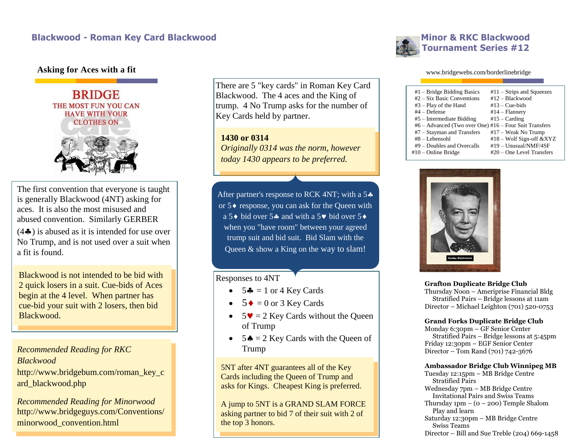## **Asking for Aces with a fit**



The first convention that everyone is taught is generally Blackwood (4NT) asking for aces. It is also the most misused and abused convention. Similarly GERBER

 $(4\clubsuit)$  is abused as it is intended for use over No Trump, and is not used over a suit when a fit is found.

Blackwood is not intended to be bid with 2 quick losers in a suit. Cue-bids of Aces begin at the 4 level. When partner has cue-bid your suit with 2 losers, then bid Blackwood.

*Recommended Reading for RKC Blackwood* http://www.bridgebum.com/roman\_key\_c ard\_blackwood.php

*Recommended Reading for Minorwood*  http://www.bridgeguys.com/Conventions/ minorwood\_convention.html

There are 5 "key cards" in Roman Key Card Blackwood. The 4 aces and the King of trump. 4 No Trump asks for the number of Key Cards held by partner.

**1430 or 0314** *Originally 0314 was the norm, however today 1430 appears to be preferred.*

After partner's response to RCK 4NT; with a 5 $\clubsuit$ or  $5\blacklozenge$  response, you can ask for the Queen with a 5 $\bullet$  bid over 5 $\bullet$  and with a 5 $\bullet$  bid over 5 $\bullet$ when you "have room" between your agreed trump suit and bid suit. Bid Slam with the Queen & show a King on the way to slam!

## Responses to 4NT

- $\bullet$  5 $\clubsuit$  = 1 or 4 Key Cards
- $\bullet$  5  $\bullet$  = 0 or 3 Key Cards
- $5\blacktriangledown = 2$  Key Cards without the Queen of Trump
- $\bullet$  5 $\bullet$  = 2 Key Cards with the Queen of Trump

5NT after 4NT guarantees all of the Key Cards including the Queen of Trump and asks for Kings. Cheapest King is preferred.

A jump to 5NT is a GRAND SLAM FORCE asking partner to bid 7 of their suit with 2 of the top 3 honors.



#### www.bridgewebs.com/borderlinebridge

| $#1$ – Bridge Bidding Basics                           | $#11 -$ Strips and Squeezes |
|--------------------------------------------------------|-----------------------------|
| $#2 - Six Basic Conventions$                           | $#12 - Blackwood$           |
| $#3 - Play$ of the Hand                                | $#13 - Cue-bids$            |
| $#4 -$ Defense                                         | $#14 - \text{Flannery}$     |
| $#5$ – Intermediate Bidding                            | $#15 - Carding$             |
| #6 – Advanced (Two over One) #16 – Four Suit Transfers |                             |
| $#7 - Stavman$ and Transfers                           | $#17 - Weak No Trump$       |
| $#8 - Lebensohl$                                       | #18 - Wolf Sign-off &XYZ    |
| $#9$ – Doubles and Overcalls                           | #19 - Unusual/NMF/4SF       |
| $#10$ – Online Bridge                                  | #20 – One Level Transfers   |



**Grafton Duplicate Bridge Club** Thursday Noon – Ameriprise Financial Bldg Stratified Pairs – Bridge lessons at 11am

Director – Michael Leighton (701) 520-0753

### **Grand Forks Duplicate Bridge Club**

Monday 6:30pm – GF Senior Center Stratified Pairs – Bridge lessons at 5:45pm Friday 12:30pm – EGF Senior Center Director – Tom Rand (701) 742-3676

### **Ambassador Bridge Club Winnipeg MB**

Tuesday 12:15pm – MB Bridge Centre Stratified Pairs Wednesday 7pm – MB Bridge Centre Invitational Pairs and Swiss Teams Thursday  $1pm - (0 - 200)$  Temple Shalom Play and learn Saturday 12:30pm – MB Bridge Centre Swiss Teams Director – Bill and Sue Treble (204) 669-1458